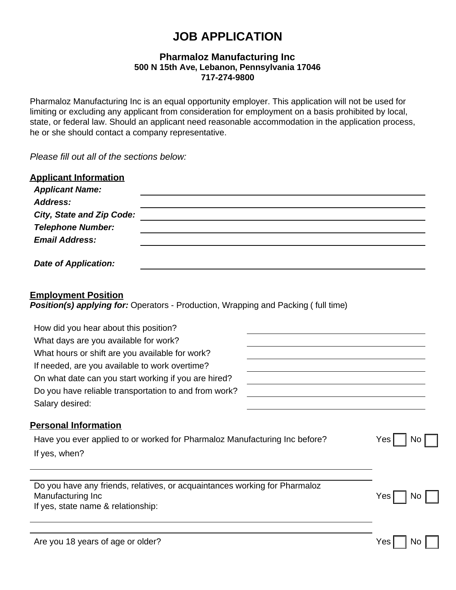# **JOB APPLICATION**

## **Pharmaloz Manufacturing Inc 500 N 15th Ave, Lebanon, Pennsylvania 17046 717-274-9800**

Pharmaloz Manufacturing Inc is an equal opportunity employer. This application will not be used for limiting or excluding any applicant from consideration for employment on a basis prohibited by local, state, or federal law. Should an applicant need reasonable accommodation in the application process, he or she should contact a company representative.

*Please fill out all of the sections below:*

| <b>Applicant Information</b><br><b>Applicant Name:</b><br>Address:<br><b>City, State and Zip Code:</b><br><b>Telephone Number:</b><br><b>Email Address:</b>                                        |  |  |           |
|----------------------------------------------------------------------------------------------------------------------------------------------------------------------------------------------------|--|--|-----------|
| <b>Date of Application:</b>                                                                                                                                                                        |  |  |           |
| <b>Employment Position</b><br>Position(s) applying for: Operators - Production, Wrapping and Packing (full time)                                                                                   |  |  |           |
| How did you hear about this position?                                                                                                                                                              |  |  |           |
| What days are you available for work?<br>What hours or shift are you available for work?<br>If needed, are you available to work overtime?<br>On what date can you start working if you are hired? |  |  |           |
|                                                                                                                                                                                                    |  |  |           |
|                                                                                                                                                                                                    |  |  |           |
|                                                                                                                                                                                                    |  |  |           |
| Do you have reliable transportation to and from work?                                                                                                                                              |  |  |           |
| Salary desired:                                                                                                                                                                                    |  |  |           |
| <b>Personal Information</b>                                                                                                                                                                        |  |  |           |
| Have you ever applied to or worked for Pharmaloz Manufacturing Inc before?                                                                                                                         |  |  | Yes<br>No |
| If yes, when?                                                                                                                                                                                      |  |  |           |
| Do you have any friends, relatives, or acquaintances working for Pharmaloz                                                                                                                         |  |  |           |
| Manufacturing Inc                                                                                                                                                                                  |  |  | Yes<br>No |
| If yes, state name & relationship:                                                                                                                                                                 |  |  |           |
| Are you 18 years of age or older?                                                                                                                                                                  |  |  | Yes<br>No |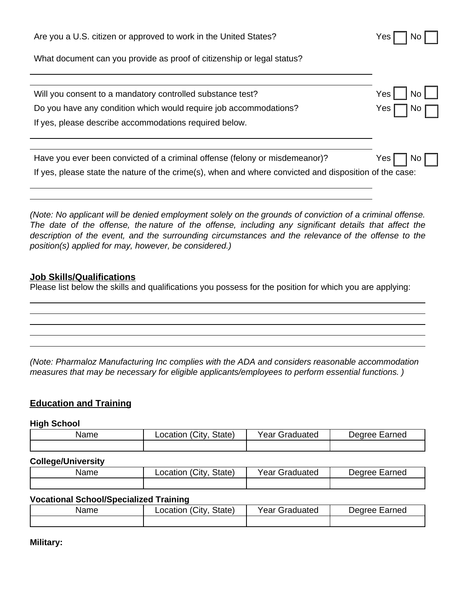| Are you a U.S. citizen or approved to work in the United States?                                        | Yes               |
|---------------------------------------------------------------------------------------------------------|-------------------|
| What document can you provide as proof of citizenship or legal status?                                  |                   |
|                                                                                                         |                   |
| Will you consent to a mandatory controlled substance test?                                              | <b>Yes</b><br>No. |
| Do you have any condition which would require job accommodations?                                       | Yes               |
| If yes, please describe accommodations required below.                                                  |                   |
|                                                                                                         |                   |
| Have you ever been convicted of a criminal offense (felony or misdemeanor)?                             | Yes<br>NO.        |
| If yes, please state the nature of the crime(s), when and where convicted and disposition of the case:  |                   |
|                                                                                                         |                   |
| (Note: No applicant will be depied employment solely on the arounds of conviction of a criminal offense |                   |

*(Note: No applicant will be denied employment solely on the grounds of conviction of a criminal offense. The date of the offense, the nature of the offense, including any significant details that affect the description of the event, and the surrounding circumstances and the relevance of the offense to the position(s) applied for may, however, be considered.)*

## **Job Skills/Qualifications**

Please list below the skills and qualifications you possess for the position for which you are applying:

*(Note: Pharmaloz Manufacturing Inc complies with the ADA and considers reasonable accommodation measures that may be necessary for eligible applicants/employees to perform essential functions. )*

# **Education and Training**

#### **High School**

| Name | Location (City<br>State) | <b>Year Graduated</b> | Degree Earned |
|------|--------------------------|-----------------------|---------------|
|      |                          |                       |               |

# **College/University**

| Name | 'City.<br>State)<br>_ocation | Year Graduated | Earned<br>Dearee F |
|------|------------------------------|----------------|--------------------|
|      |                              |                |                    |

## **Vocational School/Specialized Training**

| Name | (City<br>State)<br>∟ocation | Year Graduated | Degree Earned |
|------|-----------------------------|----------------|---------------|
|      |                             |                |               |

**Military:**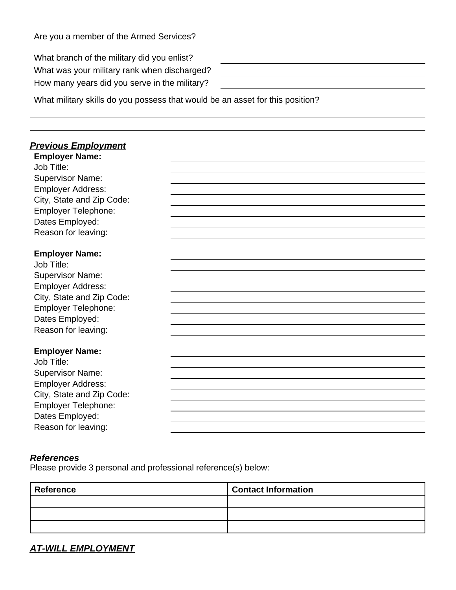What branch of the military did you enlist? What was your military rank when discharged? How many years did you serve in the military?

What military skills do you possess that would be an asset for this position?

# *Previous Employment*

| <b>Employer Name:</b>     |  |
|---------------------------|--|
| Job Title:                |  |
| <b>Supervisor Name:</b>   |  |
| <b>Employer Address:</b>  |  |
| City, State and Zip Code: |  |
| Employer Telephone:       |  |
| Dates Employed:           |  |
| Reason for leaving:       |  |
|                           |  |
| <b>Employer Name:</b>     |  |
| Job Title:                |  |
| <b>Supervisor Name:</b>   |  |
| <b>Employer Address:</b>  |  |
| City, State and Zip Code: |  |
| Employer Telephone:       |  |
| Dates Employed:           |  |
| Reason for leaving:       |  |
|                           |  |
| <b>Employer Name:</b>     |  |
| Job Title:                |  |
| <b>Supervisor Name:</b>   |  |
| <b>Employer Address:</b>  |  |
| City, State and Zip Code: |  |
| Employer Telephone:       |  |
| Dates Employed:           |  |
| Reason for leaving:       |  |

## *References*

Please provide 3 personal and professional reference(s) below:

| <b>Reference</b> | <b>Contact Information</b> |
|------------------|----------------------------|
|                  |                            |
|                  |                            |
|                  |                            |

*AT-WILL EMPLOYMENT*